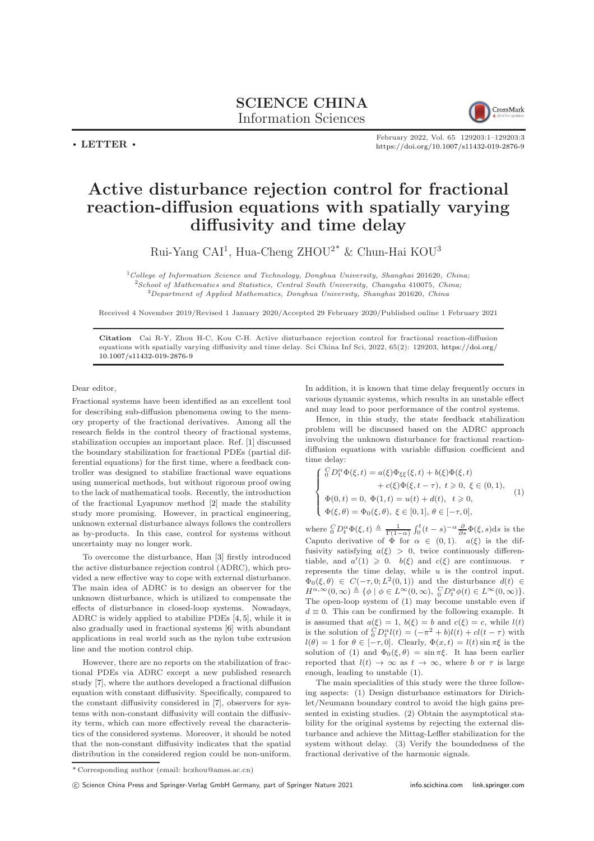SCIENCE CHINA Information Sciences



February 2022, Vol. 65 129203:1–129203[:3](#page-2-0) <https://doi.org/10.1007/s11432-019-2876-9>

## Active disturbance rejection control for fractional reaction-diffusion equations with spatially varying diffusivity and time delay

Rui-Yang CAI<sup>1</sup>, Hua-Cheng ZHOU<sup>2\*</sup> & Chun-Hai KOU<sup>3</sup>

 $1$ College of Information Science and Technology, Donghua University, Shanghai 201620, China;  $2$ School of Mathematics and Statistics, Central South University, Changsha 410075, China; <sup>3</sup>Department of Applied Mathematics, Donghua University, Shanghai 201620, China

Received 4 November 2019/Revised 1 January 2020/Accepted 29 February 2020/Published online 1 February 2021

Citation Cai R-Y, Zhou H-C, Kou C-H. Active disturbance rejection control for fractional reaction-diffusion equations with spatially varying diffusivity and time delay. Sci China Inf Sci, 2022, 65(2): 129203, [https://doi.org/](https://doi.org/10.1007/s11432-019-2876-9) [10.1007/s11432-019-2876-9](https://doi.org/10.1007/s11432-019-2876-9)

Dear editor,

 $\cdot$  LETTER  $\cdot$ 

Fractional systems have been identified as an excellent tool for describing sub-diffusion phenomena owing to the memory property of the fractional derivatives. Among all the research fields in the control theory of fractional systems, stabilization occupies an important place. Ref. [\[1\]](#page-2-1) discussed the boundary stabilization for fractional PDEs (partial differential equations) for the first time, where a feedback controller was designed to stabilize fractional wave equations using numerical methods, but without rigorous proof owing to the lack of mathematical tools. Recently, the introduction of the fractional Lyapunov method [\[2\]](#page-2-2) made the stability study more promising. However, in practical engineering, unknown external disturbance always follows the controllers as by-products. In this case, control for systems without uncertainty may no longer work.

To overcome the disturbance, Han [\[3\]](#page-2-3) firstly introduced the active disturbance rejection control (ADRC), which provided a new effective way to cope with external disturbance. The main idea of ADRC is to design an observer for the unknown disturbance, which is utilized to compensate the effects of disturbance in closed-loop systems. Nowadays, ADRC is widely applied to stabilize PDEs [\[4,](#page-2-4) [5\]](#page-2-5), while it is also gradually used in fractional systems [\[6\]](#page-2-6) with abundant applications in real world such as the nylon tube extrusion line and the motion control chip.

However, there are no reports on the stabilization of fractional PDEs via ADRC except a new published research study [\[7\]](#page-2-7), where the authors developed a fractional diffusion equation with constant diffusivity. Specifically, compared to the constant diffusivity considered in [\[7\]](#page-2-7), observers for systems with non-constant diffusivity will contain the diffusivity term, which can more effectively reveal the characteristics of the considered systems. Moreover, it should be noted that the non-constant diffusivity indicates that the spatial distribution in the considered region could be non-uniform.

In addition, it is known that time delay frequently occurs in various dynamic systems, which results in an unstable effect and may lead to poor performance of the control systems.

Hence, in this study, the state feedback stabilization problem will be discussed based on the ADRC approach involving the unknown disturbance for fractional reactiondiffusion equations with variable diffusion coefficient and time delay:

<span id="page-0-0"></span>
$$
\label{eq:2.1} \left\{ \begin{array}{ll} \stackrel{C}{0}D_{t}^{\alpha}\Phi(\xi,t)=a(\xi)\Phi_{\xi\xi}(\xi,t)+b(\xi)\Phi(\xi,t)\\ \quad +c(\xi)\Phi(\xi,t-\tau),\ t\geqslant 0,\ \xi\in(0,1),\\ \Phi(0,t)=0,\ \Phi(1,t)=u(t)+d(t),\ t\geqslant 0,\\ \Phi(\xi,\theta)=\Phi_{0}(\xi,\theta),\ \xi\in[0,1],\ \theta\in[-\tau,0], \end{array} \right. \tag {1}
$$

where  ${}_{0}^{C}D_{t}^{\alpha}\Phi(\xi,t) \triangleq \frac{1}{\Gamma(1-\alpha)}\int_{0}^{t}(t-s)^{-\alpha}\frac{\partial}{\partial s}\Phi(\xi,s)ds$  is the Caputo derivative of  $\phi$  for  $\alpha \in (0,1)$ .  $a(\xi)$  is the diffusivity satisfying  $a(\xi) > 0$ , twice continuously differentiable, and  $a'(1) \geq 0$ .  $b(\xi)$  and  $c(\xi)$  are continuous.  $\tau$ represents the time delay, while  $u$  is the control input.  $\Phi_0(\xi, \theta) \in C(-\tau, 0; L^2(0, 1))$  and the disturbance  $d(t) \in$  $H^{\alpha,\infty}(0,\infty) \triangleq {\varphi \mid \phi \in L^{\infty}(0,\infty), \, \, _0^C D_t^{\alpha} \phi(t) \in L^{\infty}(0,\infty) }$ . The open-loop system of [\(1\)](#page-0-0) may become unstable even if  $d \equiv 0$ . This can be confirmed by the following example. It is assumed that  $a(\xi) = 1$ ,  $b(\xi) = b$  and  $c(\xi) = c$ , while  $l(t)$ is the solution of  ${}_0^CD_t^{\alpha}l(t) = (-\pi^2 + b)l(t) + cl(t - \tau)$  with  $l(\theta) = 1$  for  $\theta \in [-\tau, 0]$ . Clearly,  $\Phi(x, t) = l(t) \sin \pi \xi$  is the solution of [\(1\)](#page-0-0) and  $\Phi_0(\xi, \theta) = \sin \pi \xi$ . It has been earlier reported that  $l(t) \rightarrow \infty$  as  $t \rightarrow \infty$ , where b or  $\tau$  is large enough, leading to unstable [\(1\)](#page-0-0).

The main specialities of this study were the three following aspects: (1) Design disturbance estimators for Dirichlet/Neumann boundary control to avoid the high gains presented in existing studies. (2) Obtain the asymptotical stability for the original systems by rejecting the external disturbance and achieve the Mittag-Leffler stabilization for the system without delay. (3) Verify the boundedness of the fractional derivative of the harmonic signals.

<sup>\*</sup> Corresponding author (email: hczhou@amss.ac.cn)

c Science China Press and Springer-Verlag GmbH Germany, part of Springer Nature 2021 <info.scichina.com><link.springer.com>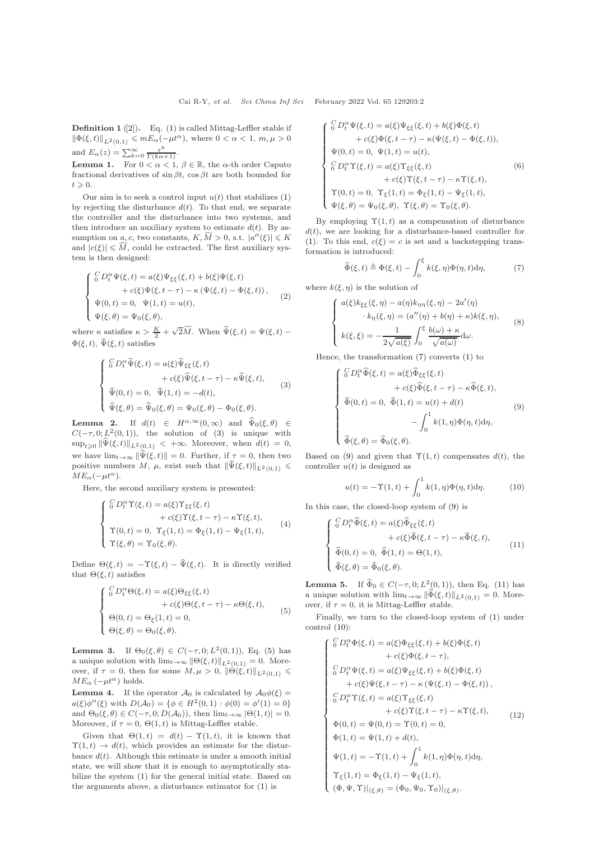**Definition 1** ([\[2\]](#page-2-2)). Eq. [\(1\)](#page-0-0) is called Mittag-Leffler stable if  $\|\Phi(\xi, t)\|_{L^2(0,1)} \leqslant mE_\alpha(-\mu t^\alpha)$ , where  $0 < \alpha < 1$ ,  $m, \mu > 0$ and  $E_{\alpha}(z) = \sum_{k=0}^{\infty} \frac{z^k}{\Gamma(k\alpha+1)}$ .

**Lemma 1.** For  $0 < \alpha < 1$ ,  $\beta \in \mathbb{R}$ , the  $\alpha$ -th order Caputo fractional derivatives of  $\sin \beta t$ ,  $\cos \beta t$  are both bounded for  $t \geqslant 0.$ 

Our aim is to seek a control input  $u(t)$  that stabilizes  $(1)$ by rejecting the disturbance  $d(t)$ . To that end, we separate the controller and the disturbance into two systems, and then introduce an auxiliary system to estimate  $d(t)$ . By assumption on  $\underline{a}, c$ , two constants,  $K, \widetilde{M} > 0$ , s.t.  $|a''(\xi)| \leqslant K$ and  $|c(\xi)| \leq M$ , could be extracted. The first auxiliary system is then designed:

$$
\label{eq:2.1} \left\{ \begin{array}{l} \overset{C}{0}D_{t}^{\alpha}\Psi(\xi,t)=a(\xi)\Psi_{\xi\xi}(\xi,t)+b(\xi)\Psi(\xi,t)\\qquad \qquad +c(\xi)\Psi(\xi,t-\tau)-\kappa\left(\Psi(\xi,t)-\Phi(\xi,t)\right),\\ \Psi(0,t)=0,\;\;\Psi(1,t)=u(t),\\ \Psi(\xi,\theta)=\Psi_{0}(\xi,\theta), \end{array} \right. \tag{2}
$$

where  $\kappa$  satisfies  $\kappa > \frac{K}{2} + \sqrt{2M}$ . When  $\widehat{\Psi}(\xi, t) = \Psi(\xi, t) \Phi(\xi, t)$ ,  $\widehat{\Psi}(\xi, t)$  satisfies

<span id="page-1-0"></span>
$$
\begin{cases}\n\int_{0}^{C} D_{t}^{\alpha} \widehat{\Psi}(\xi, t) = a(\xi) \widehat{\Psi}_{\xi\xi}(\xi, t) \\
+ c(\xi) \widehat{\Psi}(\xi, t - \tau) - \kappa \widehat{\Psi}(\xi, t), \\
\widehat{\Psi}(0, t) = 0, \quad \widehat{\Psi}(1, t) = -d(t), \\
\widehat{\Psi}(\xi, \theta) = \widehat{\Psi}_{0}(\xi, \theta) = \Psi_{0}(\xi, \theta) - \Phi_{0}(\xi, \theta).\n\end{cases}
$$
\n(3)

**Lemma 2.** If  $d(t) \in H^{\alpha,\infty}(0,\infty)$  and  $\widehat{\Psi}_0(\xi,\theta) \in$  $C(-\tau, 0; L^2(0, 1)),$  the solution of [\(3\)](#page-1-0) is unique with  $\sup_{t\geqslant 0} \|\widehat{\Psi}(\xi,t)\|_{L^2(0,1)} \, <\, +\infty.$  Moreover, when  $d(t) = 0$ , we have  $\lim_{t\to\infty} \|\widehat{\Psi}(\xi,t)\| = 0$ . Further, if  $\tau = 0$ , then two positive numbers M,  $\mu$ , exist such that  $\|\widehat{\Psi}(\xi, t)\|_{L^2(0,1)} \leq$  $ME_{\alpha}(-\mu t^{\alpha}).$ 

Here, the second auxiliary system is presented:

$$
\begin{cases}\n\int_{0}^{C} D_{t}^{\alpha} \Upsilon(\xi, t) = a(\xi) \Upsilon_{\xi\xi}(\xi, t) \\
+ c(\xi) \Upsilon(\xi, t - \tau) - \kappa \Upsilon(\xi, t), \\
\Upsilon(0, t) = 0, \ \Upsilon_{\xi}(1, t) = \Phi_{\xi}(1, t) - \Psi_{\xi}(1, t), \\
\Upsilon(\xi, \theta) = \Upsilon_{0}(\xi, \theta).\n\end{cases}
$$
\n(4)

Define  $\Theta(\xi, t) = -\Upsilon(\xi, t) - \widehat{\Psi}(\xi, t)$ . It is directly verified that  $\Theta(\xi, t)$  satisfies

<span id="page-1-1"></span>
$$
\begin{cases}\n\int_{0}^{C} D_{t}^{\alpha} \Theta(\xi, t) = a(\xi) \Theta_{\xi\xi}(\xi, t) \\
+ c(\xi) \Theta(\xi, t - \tau) - \kappa \Theta(\xi, t), \\
\Theta(0, t) = \Theta_{\xi}(1, t) = 0, \\
\Theta(\xi, \theta) = \Theta_{0}(\xi, \theta).\n\end{cases}
$$
\n(5)

**Lemma 3.** If  $\Theta_0(\xi, \theta) \in C(-\tau, 0; L^2(0, 1)),$  Eq. [\(5\)](#page-1-1) has a unique solution with  $\lim_{t\to\infty} ||\Theta(\xi, t)||_{L^2(0,1)} = 0$ . Moreover, if  $\tau = 0$ , then for some  $M, \mu > 0$ ,  $\|\Theta(\xi, t)\|_{L^2(0,1)} \leq$  $ME_{\alpha}(-\mu t^{\alpha})$  holds.

**Lemma 4.** If the operator  $\mathcal{A}_0$  is calculated by  $\mathcal{A}_0\phi(\xi)$  =  $a(\xi)\phi''(\xi)$  with  $D(A_0) = \{ \phi \in H^2(0,1) : \phi(0) = \phi'(1) = 0 \}$ and  $\Theta_0(\xi, \theta) \in C(-\tau, 0; D(\mathcal{A}_0))$ , then  $\lim_{t \to \infty} |\Theta(1, t)| = 0$ . Moreover, if  $\tau = 0$ ,  $\Theta(1, t)$  is Mittag-Leffler stable.

Given that  $\Theta(1,t) = d(t) - \Upsilon(1,t)$ , it is known that  $\Upsilon(1,t) \rightarrow d(t)$ , which provides an estimate for the disturbance  $d(t)$ . Although this estimate is under a smooth initial state, we will show that it is enough to asymptotically stabilize the system [\(1\)](#page-0-0) for the general initial state. Based on the arguments above, a disturbance estimator for [\(1\)](#page-0-0) is

$$
\begin{cases}\n\int_{0}^{C} D_{t}^{\alpha} \Psi(\xi, t) = a(\xi) \Psi_{\xi\xi}(\xi, t) + b(\xi) \Phi(\xi, t) \\
\quad + c(\xi) \Phi(\xi, t - \tau) - \kappa(\Psi(\xi, t) - \Phi(\xi, t)), \\
\Psi(0, t) = 0, \Psi(1, t) = u(t), \\
\int_{0}^{C} D_{t}^{\alpha} \Upsilon(\xi, t) = a(\xi) \Upsilon_{\xi\xi}(\xi, t) \\
\quad + c(\xi) \Upsilon(\xi, t - \tau) - \kappa \Upsilon(\xi, t), \\
\Upsilon(0, t) = 0, \Upsilon_{\xi}(1, t) = \Phi_{\xi}(1, t) - \Psi_{\xi}(1, t), \\
\Psi(\xi, \theta) = \Psi_{0}(\xi, \theta), \Upsilon(\xi, \theta) = \Upsilon_{0}(\xi, \theta).\n\end{cases}
$$
\n(6)

By employing  $\Upsilon(1,t)$  as a compensation of disturbance  $d(t)$ , we are looking for a disturbance-based controller for [\(1\)](#page-0-0). To this end,  $c(\xi) = c$  is set and a backstepping transformation is introduced:

<span id="page-1-2"></span>
$$
\widehat{\Phi}(\xi, t) \triangleq \Phi(\xi, t) - \int_0^{\xi} k(\xi, \eta) \Phi(\eta, t) d\eta,
$$
 (7)

where  $k(\xi, \eta)$  is the solution of

$$
\begin{cases}\na(\xi)k_{\xi\xi}(\xi,\eta) - a(\eta)k_{\eta\eta}(\xi,\eta) - 2a'(\eta) \\
\cdot k_{\eta}(\xi,\eta) = (a''(\eta) + b(\eta) + \kappa)k(\xi,\eta), \\
k(\xi,\xi) = -\frac{1}{2\sqrt{a(\xi)}}\int_0^{\xi} \frac{b(\omega) + \kappa}{\sqrt{a(\omega)}}d\omega.\n\end{cases}
$$
\n(8)

Hence, the transformation [\(7\)](#page-1-2) converts [\(1\)](#page-0-0) to

<span id="page-1-3"></span>
$$
\begin{cases}\n\int_{0}^{C} D_t^{\alpha} \widehat{\Phi}(\xi, t) = a(\xi) \widehat{\Phi}_{\xi\xi}(\xi, t) \\
+ c(\xi) \widehat{\Phi}(\xi, t - \tau) - \kappa \widehat{\Phi}(\xi, t), \\
\widehat{\Phi}(0, t) = 0, \ \widehat{\Phi}(1, t) = u(t) + d(t) \\
- \int_{0}^{1} k(1, \eta) \Phi(\eta, t) d\eta, \\
\widehat{\Phi}(\xi, \theta) = \widehat{\Phi}_0(\xi, \theta).\n\end{cases}
$$
\n(9)

Based on [\(9\)](#page-1-3) and given that  $\Upsilon(1,t)$  compensates  $d(t)$ , the controller  $u(t)$  is designed as

<span id="page-1-5"></span>
$$
u(t) = -\Upsilon(1, t) + \int_0^1 k(1, \eta) \Phi(\eta, t) d\eta.
$$
 (10)

In this case, the closed-loop system of [\(9\)](#page-1-3) is

<span id="page-1-4"></span>
$$
\begin{cases}\n\int_{0}^{C} D_t^{\alpha} \widehat{\Phi}(\xi, t) = a(\xi) \widehat{\Phi}_{\xi\xi}(\xi, t) \\
+ c(\xi) \widehat{\Phi}(\xi, t - \tau) - \kappa \widehat{\Phi}(\xi, t), \\
\widehat{\Phi}(0, t) = 0, \ \widehat{\Phi}(1, t) = \Theta(1, t), \\
\widehat{\Phi}(\xi, \theta) = \widehat{\Phi}_0(\xi, \theta).\n\end{cases}
$$
\n(11)

**Lemma 5.** If  $\widehat{\Phi}_0 \in C(-\tau, 0; L^2(0, 1))$ , then Eq. [\(11\)](#page-1-4) has a unique solution with  $\lim_{t\to\infty} \|\widehat{\Phi}(\xi, t)\|_{L^2(0,1)} = 0$ . Moreover, if  $\tau = 0$ , it is Mittag-Leffler stable.

Finally, we turn to the closed-loop system of [\(1\)](#page-0-0) under control [\(10\)](#page-1-5):

<span id="page-1-6"></span>
$$
\begin{cases}\n\int_{0}^{C} D_{t}^{\alpha} \Phi(\xi, t) = a(\xi) \Phi_{\xi\xi}(\xi, t) + b(\xi) \Phi(\xi, t) \\
+ c(\xi) \Phi(\xi, t - \tau), \\
\int_{0}^{C} D_{t}^{\alpha} \Psi(\xi, t) = a(\xi) \Psi_{\xi\xi}(\xi, t) + b(\xi) \Phi(\xi, t) \\
+ c(\xi) \Psi(\xi, t - \tau) - \kappa (\Psi(\xi, t) - \Phi(\xi, t)), \\
\int_{0}^{C} D_{t}^{\alpha} \Upsilon(\xi, t) = a(\xi) \Upsilon_{\xi\xi}(\xi, t) \\
+ c(\xi) \Upsilon(\xi, t - \tau) - \kappa \Upsilon(\xi, t), \\
\Phi(0, t) = \Psi(0, t) = \Upsilon(0, t) = 0, \\
\Phi(1, t) = \Psi(1, t) + d(t), \\
\Psi(1, t) = -\Upsilon(1, t) + \int_{0}^{1} k(1, \eta) \Phi(\eta, t) d\eta, \\
\Upsilon_{\xi}(1, t) = \Phi_{\xi}(1, t) - \Psi_{\xi}(1, t), \\
(\Phi, \Psi, \Upsilon)|_{(\xi, \theta)} = (\Phi_{0}, \Psi_{0}, \Upsilon_{0})|_{(\xi, \theta)}.\n\end{cases} (12)
$$